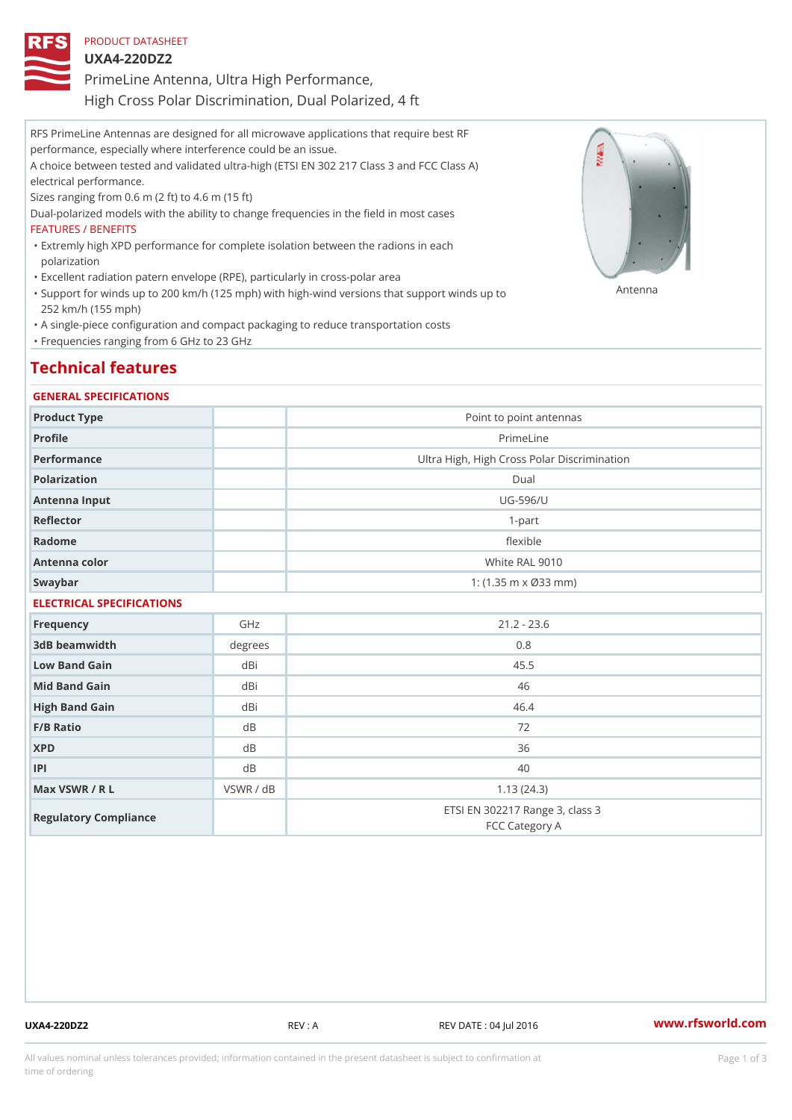## PRODUCT DATASHEET

UXA4-220DZ2

PrimeLine Antenna, Ultra High Performance,

High Cross Polar Discrimination, Dual Polarized, 4 ft

RFS PrimeLine Antennas are designed for all microwave applications that require best RF performance, especially where interference could be an issue.

A choice between tested and validated ultra-high (ETSI EN 302 217 Class 3 and FCC Class A) electrical performance.

Sizes ranging from 0.6 m (2 ft) to 4.6 m (15 ft)

Dual-polarized models with the ability to change frequencies in the field in most cases FEATURES / BENEFITS

Extremly high XPD performance for complete isolation between the radions in each " polarization

"Excellent radiation patern envelope (RPE), particularly in cross-polar area

"Support for winds up to 200 km/h (125 mph) with high-wind versions that support for wands up to 252 km/h (155 mph)

"A single-piece configuration and compact packaging to reduce transportation costs

"Frequencies ranging from 6 GHz to 23 GHz

# Technical features

### GENERAL SPECIFICATIONS

| Product Type              |           | Point to point antennas                           |  |  |  |
|---------------------------|-----------|---------------------------------------------------|--|--|--|
| Profile                   |           | PrimeLine                                         |  |  |  |
| Performance               |           | Ultra High, High Cross Polar Discrimination       |  |  |  |
| Polarization              |           | $D$ ual                                           |  |  |  |
| Antenna Input             |           | $UG - 596/U$                                      |  |  |  |
| Reflector                 |           | $1 - p$ art                                       |  |  |  |
| Radome                    |           | flexible                                          |  |  |  |
| Antenna color             |           | White RAL 9010                                    |  |  |  |
| Swaybar                   |           | 1: $(1.35 \, m \times \emptyset 33 \, mm)$        |  |  |  |
| ELECTRICAL SPECIFICATIONS |           |                                                   |  |  |  |
| Frequency                 | GHz       | $21.2 - 23.6$                                     |  |  |  |
| 3dB beamwidth             | degrees   | 0.8                                               |  |  |  |
| Low Band Gain             | dBi       | 45.5                                              |  |  |  |
| Mid Band Gain             | dBi       | 46                                                |  |  |  |
| High Band Gain            | dBi       | 46.4                                              |  |  |  |
| F/B Ratio                 | d B       | 72                                                |  |  |  |
| <b>XPD</b>                | d B       | 36                                                |  |  |  |
| P                         | d B       | 40                                                |  |  |  |
| Max VSWR / R L            | VSWR / dB | 1.13(24.3)                                        |  |  |  |
| Regulatory Compliance     |           | ETSI EN 302217 Range 3, class 3<br>FCC Category A |  |  |  |

UXA4-220DZ2 REV : A REV DATE : 04 Jul 2016 [www.](https://www.rfsworld.com)rfsworld.com

All values nominal unless tolerances provided; information contained in the present datasheet is subject to Pcapgeign mation time of ordering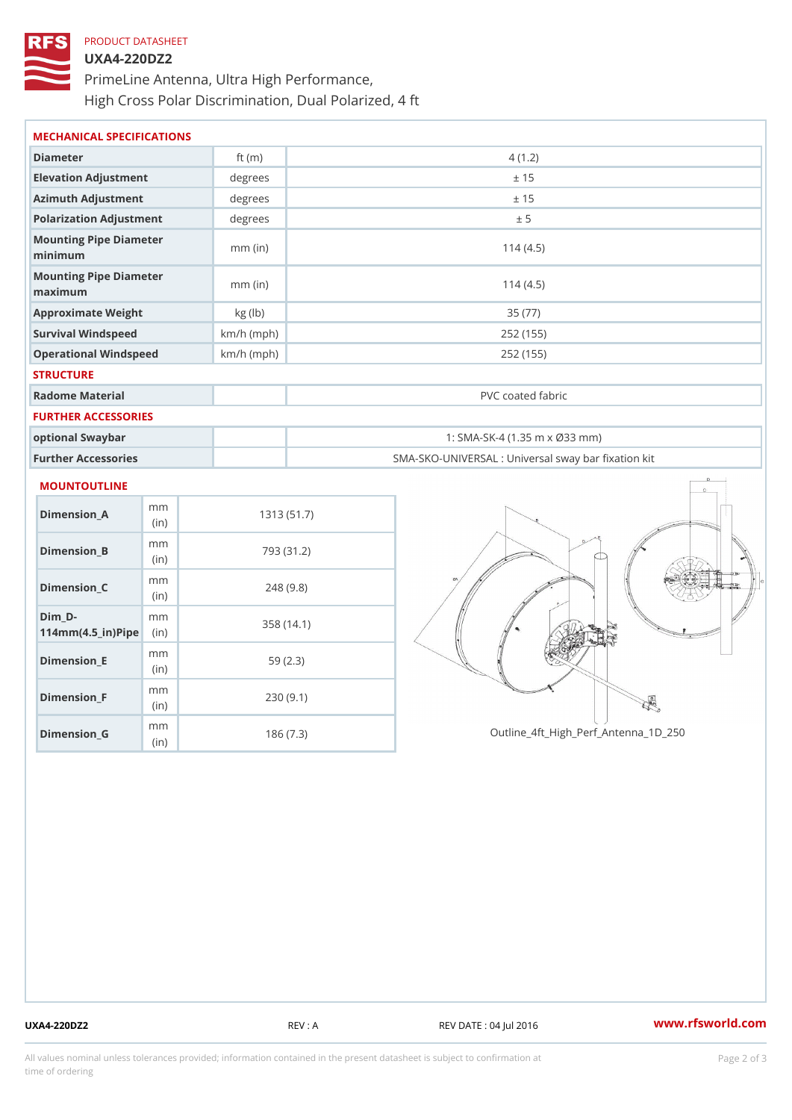# PRODUCT DATASHEET UXA4-220DZ2 PrimeLine Antenna, Ultra High Performance, High Cross Polar Discrimination, Dual Polarized, 4 ft

| Diameter                          | ft $(m)$     | 4(1.2)                                            |
|-----------------------------------|--------------|---------------------------------------------------|
| Elevation Adjustment              | degrees      | ± 15                                              |
| Azimuth Adjustment                | degrees      | ± 15                                              |
| Polarization Adjustment           | degrees      | ± 5                                               |
| Mounting Pipe Diameter<br>minimum | $mm$ (in)    | 114(4.5)                                          |
| Mounting Pipe Diameter<br>maximum | $mm$ (in)    | 114(4.5)                                          |
| Approximate Weight                | kg(lb)       | 35 (77)                                           |
| Survival Windspeed                | $km/h$ (mph) | 252 (155)                                         |
| Operational Windspeed             | $km/h$ (mph) | 252 (155)                                         |
| <b>STRUCTURE</b>                  |              |                                                   |
| Radome Material                   |              | PVC coated fabric                                 |
| FURTHER ACCESSORIES               |              |                                                   |
| optional Swaybar                  |              | 1: SMA-SK-4 (1.35 m x Ø33 mm)                     |
| Further Accessories               |              | SMA-SKO-UNIVERSAL : Universal sway bar fixation l |

| Dimension A                                     | m m<br>(in)  | 1313 (51.7) |
|-------------------------------------------------|--------------|-------------|
| Dimension B                                     | m m<br>(i n) | 793 (31.2)  |
| Dimension C                                     | m m<br>(in)  | 248(9.8)    |
| Dim D-<br>$114$ m m (4.5 _ i r ) $\sqrt{$ imple | m m          | 358(14.1)   |
| $Dimension$ $E$                                 | m m<br>(in)  | 59(2.3)     |
| Dimension F                                     | m m<br>(in)  | 230(9.1)    |
| $Dimension_G$                                   | m m<br>(in)  | 186(7.3)    |

Outline\_4ft\_High\_Perf\_Antenna\_1D\_250

UXA4-220DZ2 REV : A REV DATE : 04 Jul 2016 [www.](https://www.rfsworld.com)rfsworld.com

All values nominal unless tolerances provided; information contained in the present datasheet is subject to Pcapgelio an atio time of ordering